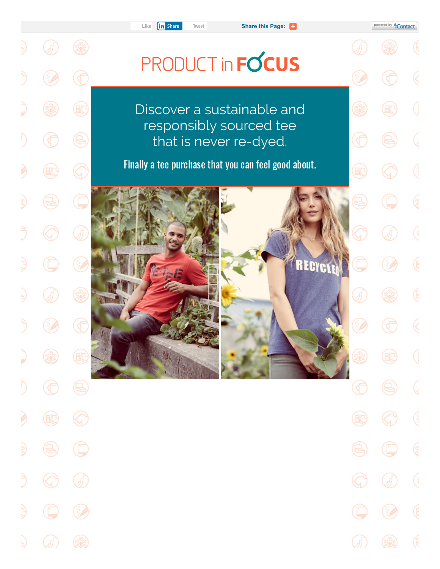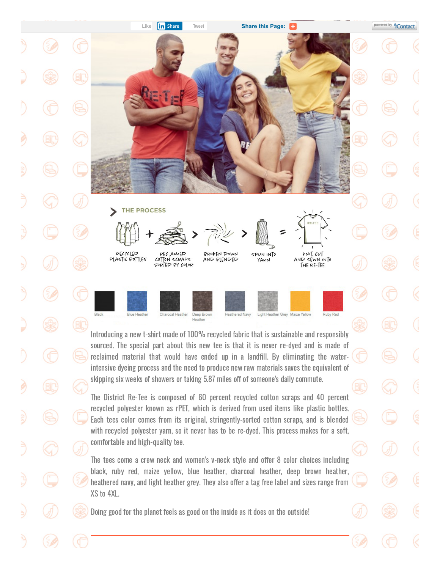